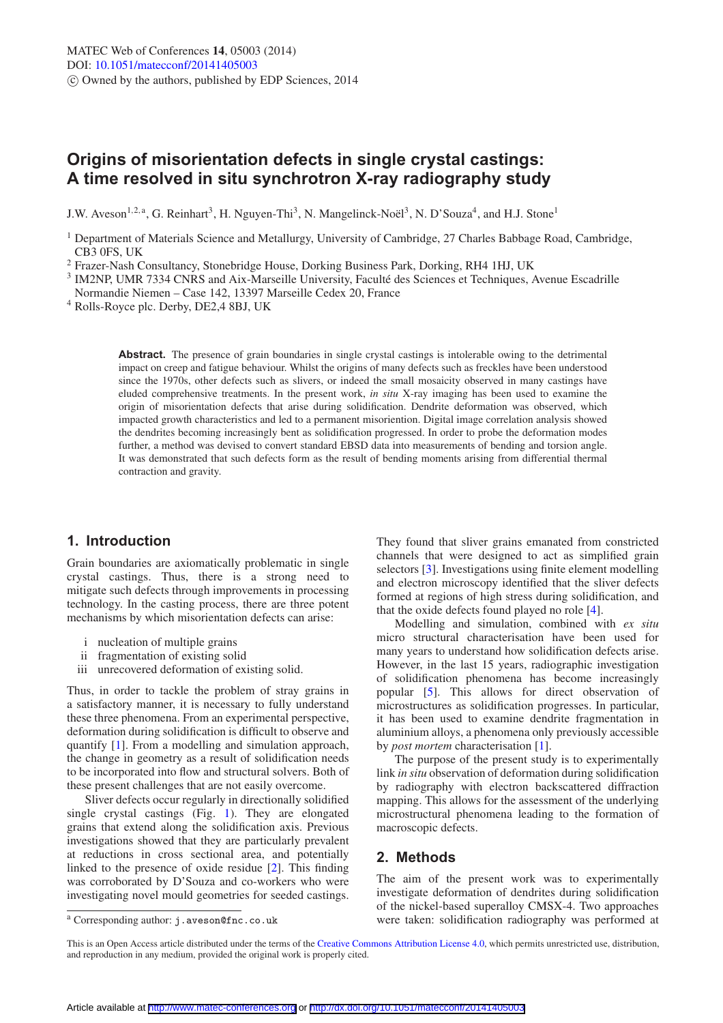# **Origins of misorientation defects in single crystal castings: A time resolved in situ synchrotron X-ray radiography study**

J.W. Aveson<sup>1,2,a</sup>, G. Reinhart<sup>3</sup>, H. Nguyen-Thi<sup>3</sup>, N. Mangelinck-Noël<sup>3</sup>, N. D'Souza<sup>4</sup>, and H.J. Stone<sup>1</sup>

**Abstract.** The presence of grain boundaries in single crystal castings is intolerable owing to the detrimental impact on creep and fatigue behaviour. Whilst the origins of many defects such as freckles have been understood since the 1970s, other defects such as slivers, or indeed the small mosaicity observed in many castings have eluded comprehensive treatments. In the present work, *in situ* X-ray imaging has been used to examine the origin of misorientation defects that arise during solidification. Dendrite deformation was observed, which impacted growth characteristics and led to a permanent misoriention. Digital image correlation analysis showed the dendrites becoming increasingly bent as solidification progressed. In order to probe the deformation modes further, a method was devised to convert standard EBSD data into measurements of bending and torsion angle. It was demonstrated that such defects form as the result of bending moments arising from differential thermal contraction and gravity.

# **1. Introduction**

Grain boundaries are axiomatically problematic in single crystal castings. Thus, there is a strong need to mitigate such defects through improvements in processing technology. In the casting process, there are three potent mechanisms by which misorientation defects can arise:

- i nucleation of multiple grains
- ii fragmentation of existing solid
- iii unrecovered deformation of existing solid.

Thus, in order to tackle the problem of stray grains in a satisfactory manner, it is necessary to fully understand these three phenomena. From an experimental perspective, deformation during solidification is difficult to observe and quantify [\[1\]](#page-4-0). From a modelling and simulation approach, the change in geometry as a result of solidification needs to be incorporated into flow and structural solvers. Both of these present challenges that are not easily overcome.

Sliver defects occur regularly in directionally solidified single crystal castings (Fig. [1\)](#page-1-0). They are elongated grains that extend along the solidification axis. Previous investigations showed that they are particularly prevalent at reductions in cross sectional area, and potentially linked to the presence of oxide residue [\[2](#page-4-1)]. This finding was corroborated by D'Souza and co-workers who were investigating novel mould geometries for seeded castings.

They found that sliver grains emanated from constricted channels that were designed to act as simplified grain selectors [\[3](#page-4-2)]. Investigations using finite element modelling and electron microscopy identified that the sliver defects formed at regions of high stress during solidification, and that the oxide defects found played no role [\[4\]](#page-4-3).

Modelling and simulation, combined with *ex situ* micro structural characterisation have been used for many years to understand how solidification defects arise. However, in the last 15 years, radiographic investigation of solidification phenomena has become increasingly popular [\[5\]](#page-4-4). This allows for direct observation of microstructures as solidification progresses. In particular, it has been used to examine dendrite fragmentation in aluminium alloys, a phenomena only previously accessible by *post mortem* characterisation [\[1](#page-4-0)].

The purpose of the present study is to experimentally link *in situ* observation of deformation during solidification by radiography with electron backscattered diffraction mapping. This allows for the assessment of the underlying microstructural phenomena leading to the formation of macroscopic defects.

# **2. Methods**

The aim of the present work was to experimentally investigate deformation of dendrites during solidification of the nickel-based superalloy CMSX-4. Two approaches were taken: solidification radiography was performed at

<sup>&</sup>lt;sup>1</sup> Department of Materials Science and Metallurgy, University of Cambridge, 27 Charles Babbage Road, Cambridge, CB3 0FS, UK

<sup>2</sup> Frazer-Nash Consultancy, Stonebridge House, Dorking Business Park, Dorking, RH4 1HJ, UK

<sup>&</sup>lt;sup>3</sup> IM2NP, UMR 7334 CNRS and Aix-Marseille University, Faculté des Sciences et Techniques, Avenue Escadrille Normandie Niemen – Case 142, 13397 Marseille Cedex 20, France

<sup>4</sup> Rolls-Royce plc. Derby, DE2,4 8BJ, UK

<sup>a</sup> Corresponding author: j.aveson@fnc.co.uk

This is an Open Access article distributed under the terms of the [Creative Commons Attribution License 4.0,](http://creativecommons.org/licenses/by/4.0/) which permits unrestricted use, distribution, and reproduction in any medium, provided the original work is properly cited.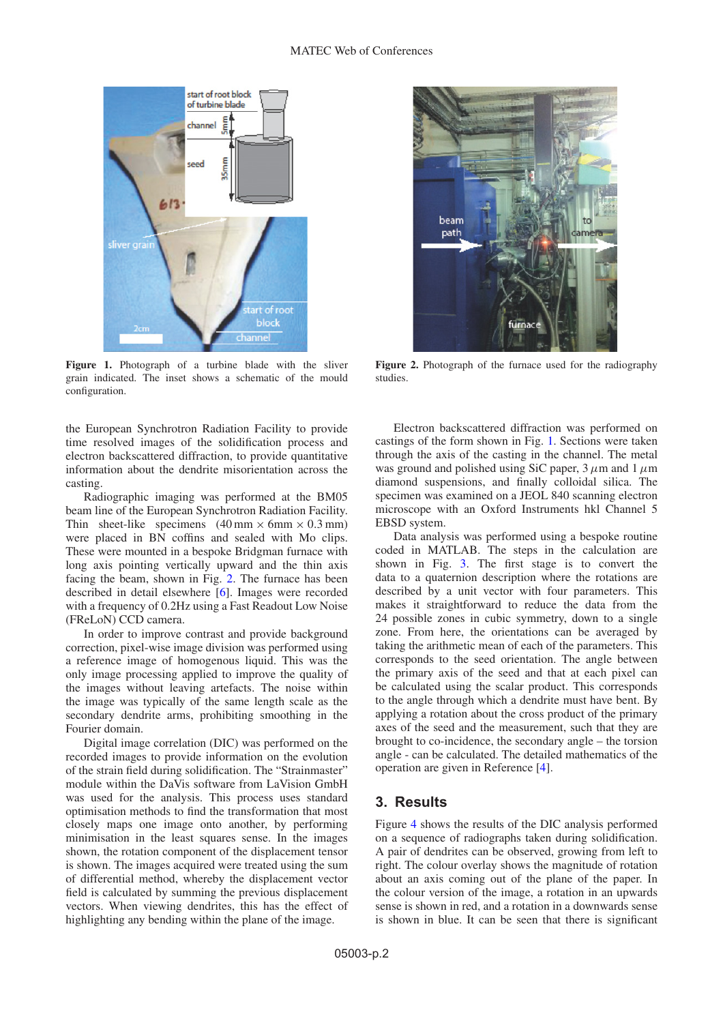<span id="page-1-0"></span>

Figure 1. Photograph of a turbine blade with the sliver grain indicated. The inset shows a schematic of the mould configuration.

the European Synchrotron Radiation Facility to provide time resolved images of the solidification process and electron backscattered diffraction, to provide quantitative information about the dendrite misorientation across the casting.

Radiographic imaging was performed at the BM05 beam line of the European Synchrotron Radiation Facility. Thin sheet-like specimens  $(40 \text{ mm} \times 6 \text{ mm} \times 0.3 \text{ mm})$ were placed in BN coffins and sealed with Mo clips. These were mounted in a bespoke Bridgman furnace with long axis pointing vertically upward and the thin axis facing the beam, shown in Fig. [2.](#page-1-1) The furnace has been described in detail elsewhere [\[6\]](#page-4-5). Images were recorded with a frequency of 0.2Hz using a Fast Readout Low Noise (FReLoN) CCD camera.

In order to improve contrast and provide background correction, pixel-wise image division was performed using a reference image of homogenous liquid. This was the only image processing applied to improve the quality of the images without leaving artefacts. The noise within the image was typically of the same length scale as the secondary dendrite arms, prohibiting smoothing in the Fourier domain.

Digital image correlation (DIC) was performed on the recorded images to provide information on the evolution of the strain field during solidification. The "Strainmaster" module within the DaVis software from LaVision GmbH was used for the analysis. This process uses standard optimisation methods to find the transformation that most closely maps one image onto another, by performing minimisation in the least squares sense. In the images shown, the rotation component of the displacement tensor is shown. The images acquired were treated using the sum of differential method, whereby the displacement vector field is calculated by summing the previous displacement vectors. When viewing dendrites, this has the effect of highlighting any bending within the plane of the image.

<span id="page-1-1"></span>

**Figure 2.** Photograph of the furnace used for the radiography studies.

Electron backscattered diffraction was performed on castings of the form shown in Fig. [1.](#page-1-0) Sections were taken through the axis of the casting in the channel. The metal was ground and polished using SiC paper, 3*µ*m and 1*µ*m diamond suspensions, and finally colloidal silica. The specimen was examined on a JEOL 840 scanning electron microscope with an Oxford Instruments hkl Channel 5 EBSD system.

Data analysis was performed using a bespoke routine coded in MATLAB. The steps in the calculation are shown in Fig. [3.](#page-2-0) The first stage is to convert the data to a quaternion description where the rotations are described by a unit vector with four parameters. This makes it straightforward to reduce the data from the 24 possible zones in cubic symmetry, down to a single zone. From here, the orientations can be averaged by taking the arithmetic mean of each of the parameters. This corresponds to the seed orientation. The angle between the primary axis of the seed and that at each pixel can be calculated using the scalar product. This corresponds to the angle through which a dendrite must have bent. By applying a rotation about the cross product of the primary axes of the seed and the measurement, such that they are brought to co-incidence, the secondary angle – the torsion angle - can be calculated. The detailed mathematics of the operation are given in Reference [\[4](#page-4-3)].

#### **3. Results**

Figure [4](#page-3-0) shows the results of the DIC analysis performed on a sequence of radiographs taken during solidification. A pair of dendrites can be observed, growing from left to right. The colour overlay shows the magnitude of rotation about an axis coming out of the plane of the paper. In the colour version of the image, a rotation in an upwards sense is shown in red, and a rotation in a downwards sense is shown in blue. It can be seen that there is significant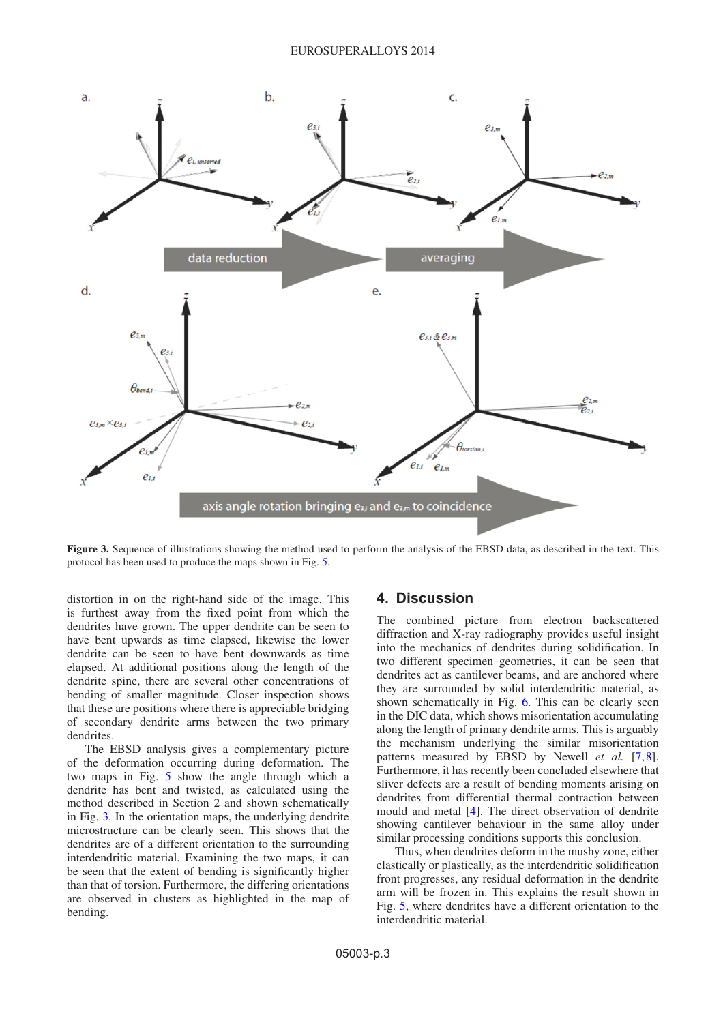

<span id="page-2-0"></span>**Figure 3.** Sequence of illustrations showing the method used to perform the analysis of the EBSD data, as described in the text. This protocol has been used to produce the maps shown in Fig. [5.](#page-3-1)

distortion in on the right-hand side of the image. This is furthest away from the fixed point from which the dendrites have grown. The upper dendrite can be seen to have bent upwards as time elapsed, likewise the lower dendrite can be seen to have bent downwards as time elapsed. At additional positions along the length of the dendrite spine, there are several other concentrations of bending of smaller magnitude. Closer inspection shows that these are positions where there is appreciable bridging of secondary dendrite arms between the two primary dendrites.

The EBSD analysis gives a complementary picture of the deformation occurring during deformation. The two maps in Fig. [5](#page-3-1) show the angle through which a dendrite has bent and twisted, as calculated using the method described in Section 2 and shown schematically in Fig. [3.](#page-2-0) In the orientation maps, the underlying dendrite microstructure can be clearly seen. This shows that the dendrites are of a different orientation to the surrounding interdendritic material. Examining the two maps, it can be seen that the extent of bending is significantly higher than that of torsion. Furthermore, the differing orientations are observed in clusters as highlighted in the map of bending.

### **4. Discussion**

The combined picture from electron backscattered diffraction and X-ray radiography provides useful insight into the mechanics of dendrites during solidification. In two different specimen geometries, it can be seen that dendrites act as cantilever beams, and are anchored where they are surrounded by solid interdendritic material, as shown schematically in Fig. [6.](#page-4-6) This can be clearly seen in the DIC data, which shows misorientation accumulating along the length of primary dendrite arms. This is arguably the mechanism underlying the similar misorientation patterns measured by EBSD by Newell *et al.* [\[7](#page-4-7)[,8](#page-4-8)]. Furthermore, it has recently been concluded elsewhere that sliver defects are a result of bending moments arising on dendrites from differential thermal contraction between mould and metal [\[4\]](#page-4-3). The direct observation of dendrite showing cantilever behaviour in the same alloy under similar processing conditions supports this conclusion.

Thus, when dendrites deform in the mushy zone, either elastically or plastically, as the interdendritic solidification front progresses, any residual deformation in the dendrite arm will be frozen in. This explains the result shown in Fig. [5,](#page-3-1) where dendrites have a different orientation to the interdendritic material.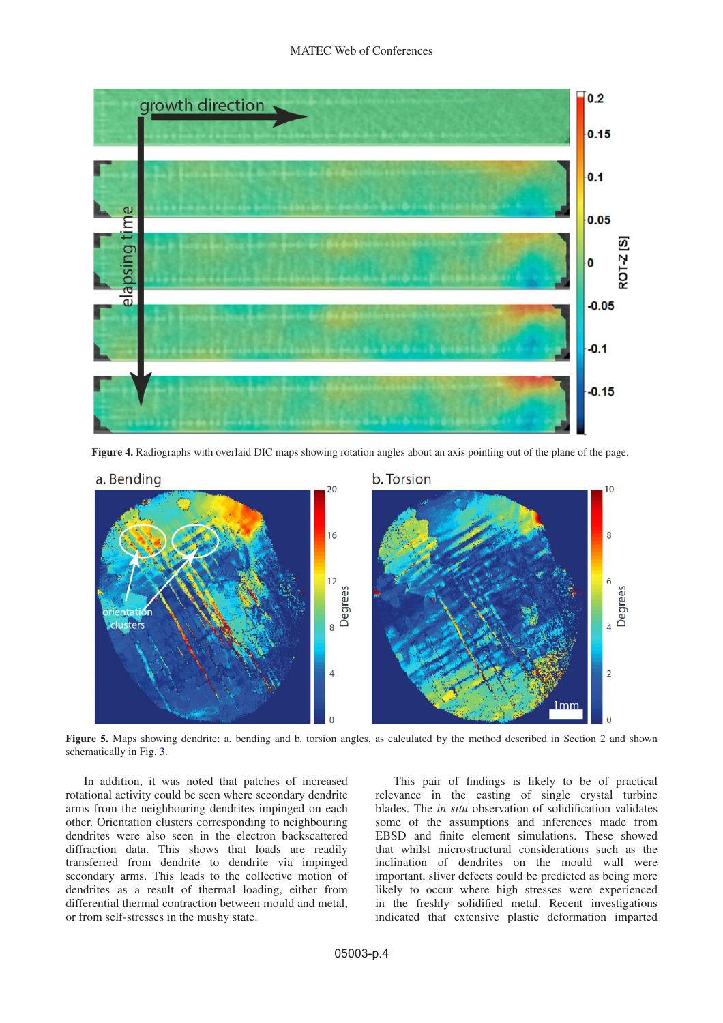

**Figure 4.** Radiographs with overlaid DIC maps showing rotation angles about an axis pointing out of the plane of the page.

<span id="page-3-0"></span>

<span id="page-3-1"></span>**Figure 5.** Maps showing dendrite: a. bending and b. torsion angles, as calculated by the method described in Section 2 and shown schematically in Fig. [3.](#page-2-0)

In addition, it was noted that patches of increased rotational activity could be seen where secondary dendrite arms from the neighbouring dendrites impinged on each other. Orientation clusters corresponding to neighbouring dendrites were also seen in the electron backscattered diffraction data. This shows that loads are readily transferred from dendrite to dendrite via impinged secondary arms. This leads to the collective motion of dendrites as a result of thermal loading, either from differential thermal contraction between mould and metal, or from self-stresses in the mushy state.

This pair of findings is likely to be of practical relevance in the casting of single crystal turbine blades. The *in situ* observation of solidification validates some of the assumptions and inferences made from EBSD and finite element simulations. These showed that whilst microstructural considerations such as the inclination of dendrites on the mould wall were important, sliver defects could be predicted as being more likely to occur where high stresses were experienced in the freshly solidified metal. Recent investigations indicated that extensive plastic deformation imparted